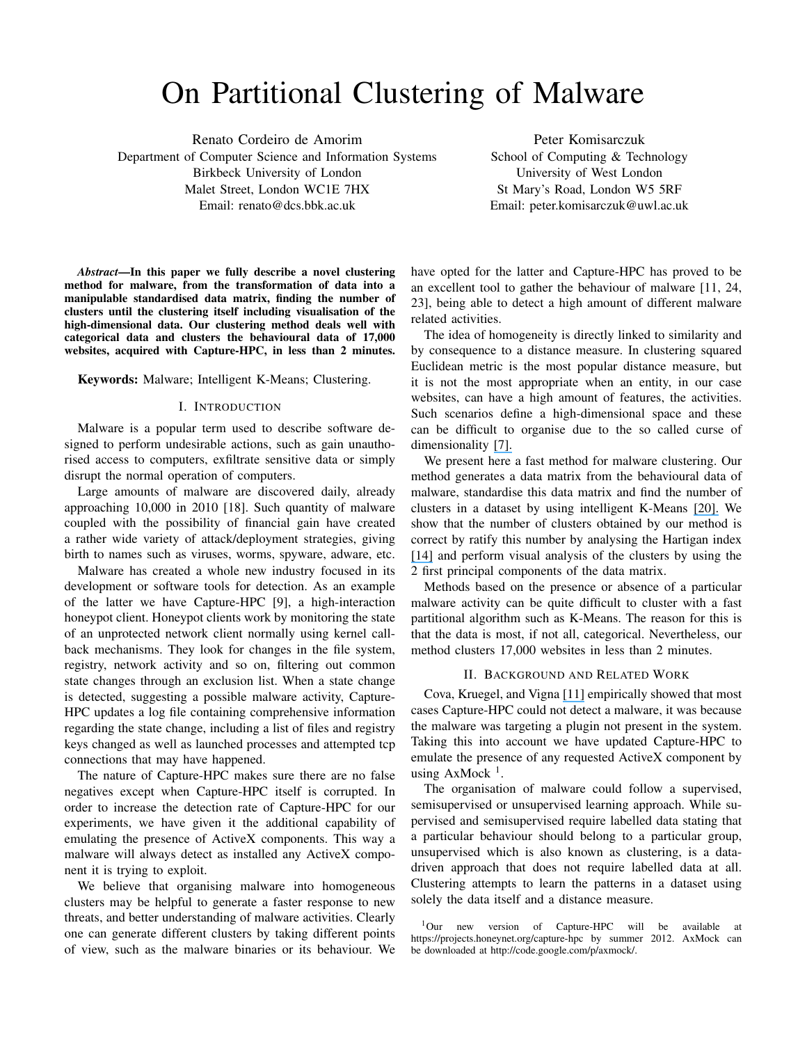# On Partitional Clustering of Malware

Renato Cordeiro de Amorim Department of Computer Science and Information Systems Birkbeck University of London Malet Street, London WC1E 7HX Email: renato@dcs.bbk.ac.uk

Peter Komisarczuk School of Computing & Technology University of West London St Mary's Road, London W5 5RF Email: peter.komisarczuk@uwl.ac.uk

*Abstract*—In this paper we fully describe a novel clustering method for malware, from the transformation of data into a manipulable standardised data matrix, finding the number of clusters until the clustering itself including visualisation of the high-dimensional data. Our clustering method deals well with categorical data and clusters the behavioural data of 17,000 websites, acquired with Capture-HPC, in less than 2 minutes.

Keywords: Malware; Intelligent K-Means; Clustering.

## I. INTRODUCTION

Malware is a popular term used to describe software designed to perform undesirable actions, such as gain unauthorised access to computers, exfiltrate sensitive data or simply disrupt the normal operation of computers.

Large amounts of malware are discovered daily, already approaching 10,000 in 2010 [18]. Such quantity of malware coupled with the possibility of financial gain have created a rather wide variety of attack/deployment strategies, giving birth to names such as viruses, worms, spyware, adware, etc.

Malware has created a whole new industry focused in its development or software tools for detection. As an example of the latter we have Capture-HPC [9], a high-interaction honeypot client. Honeypot clients work by monitoring the state of an unprotected network client normally using kernel callback mechanisms. They look for changes in the file system, registry, network activity and so on, filtering out common state changes through an exclusion list. When a state change is detected, suggesting a possible malware activity, Capture-HPC updates a log file containing comprehensive information regarding the state change, including a list of files and registry keys changed as well as launched processes and attempted tcp connections that may have happened.

The nature of Capture-HPC makes sure there are no false negatives except when Capture-HPC itself is corrupted. In order to increase the detection rate of Capture-HPC for our experiments, we have given it the additional capability of emulating the presence of ActiveX components. This way a malware will always detect as installed any ActiveX component it is trying to exploit.

We believe that organising malware into homogeneous clusters may be helpful to generate a faster response to new threats, and better understanding of malware activities. Clearly one can generate different clusters by taking different points of view, such as the malware binaries or its behaviour. We have opted for the latter and Capture-HPC has proved to be an excellent tool to gather the behaviour of malware [11, 24, 23], being able to detect a high amount of different malware related activities.

The idea of homogeneity is directly linked to similarity and by consequence to a distance measure. In clustering squared Euclidean metric is the most popular distance measure, but it is not the most appropriate when an entity, in our case websites, can have a high amount of features, the activities. Such scenarios define a high-dimensional space and these can be difficult to organise due to the so called curse of dimensionality [7].

We present here a fast method for malware clustering. Our method generates a data matrix from the behavioural data of malware, standardise this data matrix and find the number of clusters in a dataset by using intelligent K-Means [20]. We show that the number of clusters obtained by our method is correct by ratify this number by analysing the Hartigan index [14] and perform visual analysis of the clusters by using the 2 first principal components of the data matrix.

Methods based on the presence or absence of a particular malware activity can be quite difficult to cluster with a fast partitional algorithm such as K-Means. The reason for this is that the data is most, if not all, categorical. Nevertheless, our method clusters 17,000 websites in less than 2 minutes.

## II. BACKGROUND AND RELATED WORK

Cova, Kruegel, and Vigna [11] empirically showed that most cases Capture-HPC could not detect a malware, it was because the malware was targeting a plugin not present in the system. Taking this into account we have updated Capture-HPC to emulate the presence of any requested ActiveX component by using  $AxMock<sup>1</sup>$ .

The organisation of malware could follow a supervised, semisupervised or unsupervised learning approach. While supervised and semisupervised require labelled data stating that a particular behaviour should belong to a particular group, unsupervised which is also known as clustering, is a datadriven approach that does not require labelled data at all. Clustering attempts to learn the patterns in a dataset using solely the data itself and a distance measure.

<sup>1</sup>Our new version of Capture-HPC will be available at https://projects.honeynet.org/capture-hpc by summer 2012. AxMock can be downloaded at http://code.google.com/p/axmock/.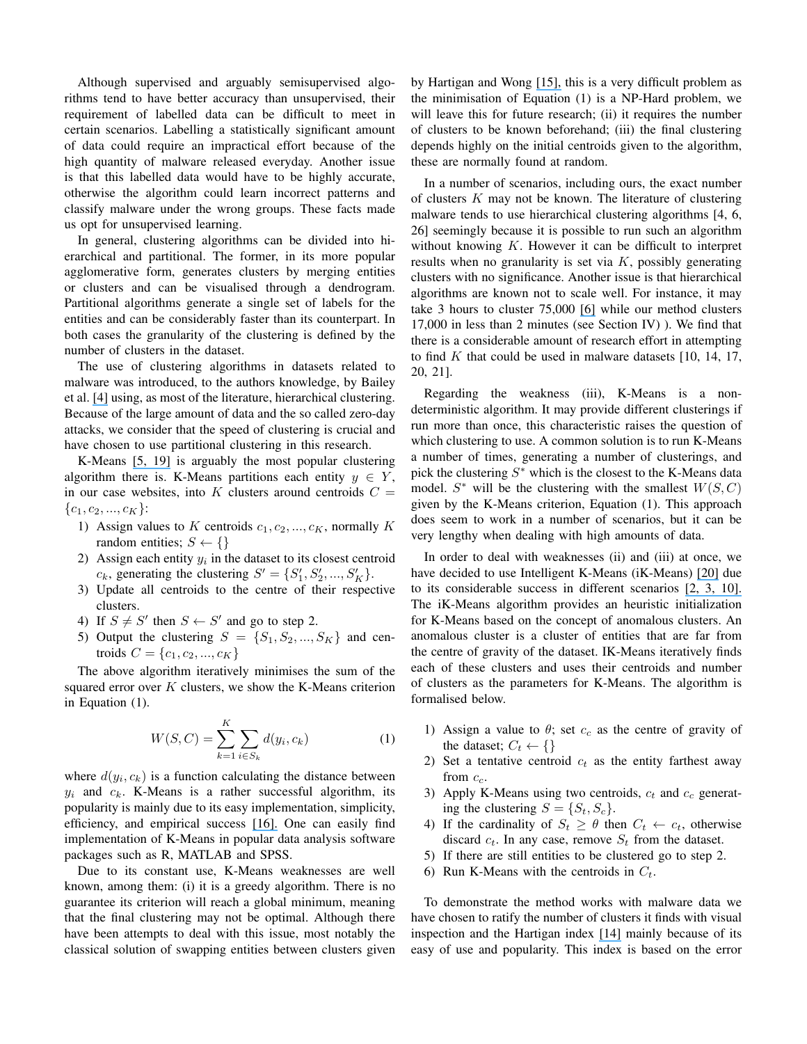Although supervised and arguably semisupervised algorithms tend to have better accuracy than unsupervised, their requirement of labelled data can be difficult to meet in certain scenarios. Labelling a statistically significant amount of data could require an impractical effort because of the high quantity of malware released everyday. Another issue is that this labelled data would have to be highly accurate, otherwise the algorithm could learn incorrect patterns and classify malware under the wrong groups. These facts made us opt for unsupervised learning.

In general, clustering algorithms can be divided into hierarchical and partitional. The former, in its more popular agglomerative form, generates clusters by merging entities or clusters and can be visualised through a dendrogram. Partitional algorithms generate a single set of labels for the entities and can be considerably faster than its counterpart. In both cases the granularity of the clustering is defined by the number of clusters in the dataset.

The use of clustering algorithms in datasets related to malware was introduced, to the authors knowledge, by Bailey et al. [4] using, as most of the literature, hierarchical clustering. Because of the large amount of data and the so called zero-day attacks, we consider that the speed of clustering is crucial and have chosen to use partitional clustering in this research.

K-Means [5, 19] is arguably the most popular clustering algorithm there is. K-Means partitions each entity  $y \in Y$ , in our case websites, into K clusters around centroids  $C =$  ${c_1, c_2, ..., c_K}$ :

- 1) Assign values to K centroids  $c_1, c_2, ..., c_K$ , normally K random entities;  $S \leftarrow \{\}$
- 2) Assign each entity  $y_i$  in the dataset to its closest centroid  $c_k$ , generating the clustering  $S' = \{S'_1, S'_2, ..., S'_K\}.$
- 3) Update all centroids to the centre of their respective clusters.
- 4) If  $S \neq S'$  then  $S \leftarrow S'$  and go to step 2.
- 5) Output the clustering  $S = \{S_1, S_2, ..., S_K\}$  and centroids  $C = \{c_1, c_2, ..., c_K\}$

The above algorithm iteratively minimises the sum of the squared error over  $K$  clusters, we show the K-Means criterion in Equation (1).

$$
W(S, C) = \sum_{k=1}^{K} \sum_{i \in S_k} d(y_i, c_k)
$$
 (1)

where  $d(y_i, c_k)$  is a function calculating the distance between  $y_i$  and  $c_k$ . K-Means is a rather successful algorithm, its popularity is mainly due to its easy implementation, simplicity, efficiency, and empirical success [16]. One can easily find implementation of K-Means in popular data analysis software packages such as R, MATLAB and SPSS.

Due to its constant use, K-Means weaknesses are well known, among them: (i) it is a greedy algorithm. There is no guarantee its criterion will reach a global minimum, meaning that the final clustering may not be optimal. Although there have been attempts to deal with this issue, most notably the classical solution of swapping entities between clusters given by Hartigan and Wong [15], this is a very difficult problem as the minimisation of Equation (1) is a NP-Hard problem, we will leave this for future research; (ii) it requires the number of clusters to be known beforehand; (iii) the final clustering depends highly on the initial centroids given to the algorithm, these are normally found at random.

In a number of scenarios, including ours, the exact number of clusters  $K$  may not be known. The literature of clustering malware tends to use hierarchical clustering algorithms [4, 6, 26] seemingly because it is possible to run such an algorithm without knowing  $K$ . However it can be difficult to interpret results when no granularity is set via  $K$ , possibly generating clusters with no significance. Another issue is that hierarchical algorithms are known not to scale well. For instance, it may take 3 hours to cluster 75,000 [6] while our method clusters 17,000 in less than 2 minutes (see Section IV) ). We find that there is a considerable amount of research effort in attempting to find K that could be used in malware datasets  $[10, 14, 17,$ 20, 21].

Regarding the weakness (iii), K-Means is a nondeterministic algorithm. It may provide different clusterings if run more than once, this characteristic raises the question of which clustering to use. A common solution is to run K-Means a number of times, generating a number of clusterings, and pick the clustering  $S^*$  which is the closest to the K-Means data model.  $S^*$  will be the clustering with the smallest  $W(S, C)$ given by the K-Means criterion, Equation (1). This approach does seem to work in a number of scenarios, but it can be very lengthy when dealing with high amounts of data.

In order to deal with weaknesses (ii) and (iii) at once, we have decided to use Intelligent K-Means (iK-Means) [20] due to its considerable success in different scenarios [2, 3, 10]. The iK-Means algorithm provides an heuristic initialization for K-Means based on the concept of anomalous clusters. An anomalous cluster is a cluster of entities that are far from the centre of gravity of the dataset. IK-Means iteratively finds each of these clusters and uses their centroids and number of clusters as the parameters for K-Means. The algorithm is formalised below.

- 1) Assign a value to  $\theta$ ; set  $c_c$  as the centre of gravity of the dataset;  $C_t \leftarrow \{\}$
- 2) Set a tentative centroid  $c_t$  as the entity farthest away from  $c_c$ .
- 3) Apply K-Means using two centroids,  $c_t$  and  $c_c$  generating the clustering  $S = \{S_t, S_c\}.$
- 4) If the cardinality of  $S_t \geq \theta$  then  $C_t \leftarrow c_t$ , otherwise discard  $c_t$ . In any case, remove  $S_t$  from the dataset.
- 5) If there are still entities to be clustered go to step 2.
- 6) Run K-Means with the centroids in  $C_t$ .

To demonstrate the method works with malware data we have chosen to ratify the number of clusters it finds with visual inspection and the Hartigan index [14] mainly because of its easy of use and popularity. This index is based on the error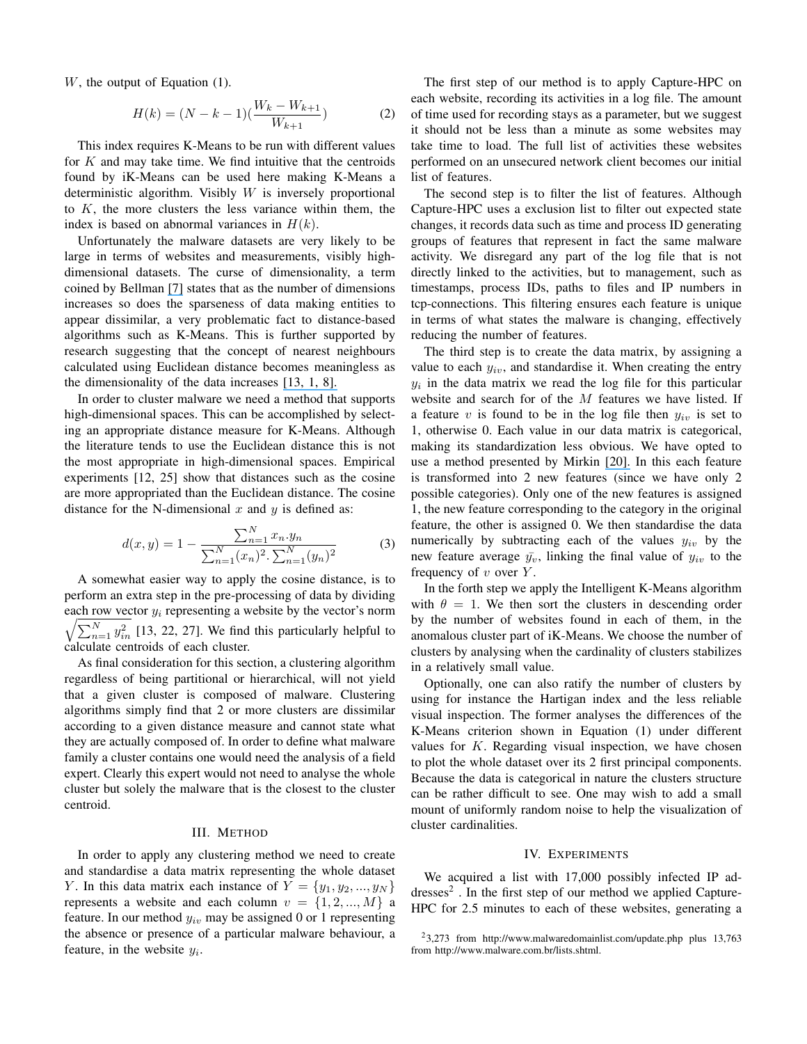W, the output of Equation (1).

$$
H(k) = (N - k - 1)(\frac{W_k - W_{k+1}}{W_{k+1}})
$$
 (2)

This index requires K-Means to be run with different values for  $K$  and may take time. We find intuitive that the centroids found by iK-Means can be used here making K-Means a deterministic algorithm. Visibly  $W$  is inversely proportional to  $K$ , the more clusters the less variance within them, the index is based on abnormal variances in  $H(k)$ .

Unfortunately the malware datasets are very likely to be large in terms of websites and measurements, visibly highdimensional datasets. The curse of dimensionality, a term coined by Bellman [7] states that as the number of dimensions increases so does the sparseness of data making entities to appear dissimilar, a very problematic fact to distance-based algorithms such as K-Means. This is further supported by research suggesting that the concept of nearest neighbours calculated using Euclidean distance becomes meaningless as the dimensionality of the data increases [13, 1, 8].

In order to cluster malware we need a method that supports high-dimensional spaces. This can be accomplished by selecting an appropriate distance measure for K-Means. Although the literature tends to use the Euclidean distance this is not the most appropriate in high-dimensional spaces. Empirical experiments [12, 25] show that distances such as the cosine are more appropriated than the Euclidean distance. The cosine distance for the N-dimensional  $x$  and  $y$  is defined as:

$$
d(x,y) = 1 - \frac{\sum_{n=1}^{N} x_n \cdot y_n}{\sum_{n=1}^{N} (x_n)^2 \cdot \sum_{n=1}^{N} (y_n)^2}
$$
(3)

A somewhat easier way to apply the cosine distance, is to perform an extra step in the pre-processing of data by dividing each row vector  $y_i$  representing a website by the vector's norm  $\sqrt{\sum_{n=1}^{N} y_{in}^2}$  [13, 22, 27]. We find this particularly helpful to calculate centroids of each cluster.

As final consideration for this section, a clustering algorithm regardless of being partitional or hierarchical, will not yield that a given cluster is composed of malware. Clustering algorithms simply find that 2 or more clusters are dissimilar according to a given distance measure and cannot state what they are actually composed of. In order to define what malware family a cluster contains one would need the analysis of a field expert. Clearly this expert would not need to analyse the whole cluster but solely the malware that is the closest to the cluster centroid.

#### III. METHOD

In order to apply any clustering method we need to create and standardise a data matrix representing the whole dataset Y. In this data matrix each instance of  $Y = \{y_1, y_2, ..., y_N\}$ represents a website and each column  $v = \{1, 2, ..., M\}$  a feature. In our method  $y_{iv}$  may be assigned 0 or 1 representing the absence or presence of a particular malware behaviour, a feature, in the website  $y_i$ .

The first step of our method is to apply Capture-HPC on each website, recording its activities in a log file. The amount of time used for recording stays as a parameter, but we suggest it should not be less than a minute as some websites may take time to load. The full list of activities these websites performed on an unsecured network client becomes our initial list of features.

The second step is to filter the list of features. Although Capture-HPC uses a exclusion list to filter out expected state changes, it records data such as time and process ID generating groups of features that represent in fact the same malware activity. We disregard any part of the log file that is not directly linked to the activities, but to management, such as timestamps, process IDs, paths to files and IP numbers in tcp-connections. This filtering ensures each feature is unique in terms of what states the malware is changing, effectively reducing the number of features.

The third step is to create the data matrix, by assigning a value to each  $y_{iv}$ , and standardise it. When creating the entry  $y_i$  in the data matrix we read the log file for this particular website and search for of the M features we have listed. If a feature  $v$  is found to be in the log file then  $y_{iv}$  is set to 1, otherwise 0. Each value in our data matrix is categorical, making its standardization less obvious. We have opted to use a method presented by Mirkin [20]. In this each feature is transformed into 2 new features (since we have only 2 possible categories). Only one of the new features is assigned 1, the new feature corresponding to the category in the original feature, the other is assigned 0. We then standardise the data numerically by subtracting each of the values  $y_{iv}$  by the new feature average  $\bar{y}_v$ , linking the final value of  $y_{iv}$  to the frequency of  $v$  over  $Y$ .

In the forth step we apply the Intelligent K-Means algorithm with  $\theta = 1$ . We then sort the clusters in descending order by the number of websites found in each of them, in the anomalous cluster part of iK-Means. We choose the number of clusters by analysing when the cardinality of clusters stabilizes in a relatively small value.

Optionally, one can also ratify the number of clusters by using for instance the Hartigan index and the less reliable visual inspection. The former analyses the differences of the K-Means criterion shown in Equation (1) under different values for  $K$ . Regarding visual inspection, we have chosen to plot the whole dataset over its 2 first principal components. Because the data is categorical in nature the clusters structure can be rather difficult to see. One may wish to add a small mount of uniformly random noise to help the visualization of cluster cardinalities.

## IV. EXPERIMENTS

We acquired a list with 17,000 possibly infected IP ad $d$ resses<sup>2</sup>. In the first step of our method we applied Capture-HPC for 2.5 minutes to each of these websites, generating a

<sup>&</sup>lt;sup>2</sup>3,273 from http://www.malwaredomainlist.com/update.php plus 13,763 from http://www.malware.com.br/lists.shtml.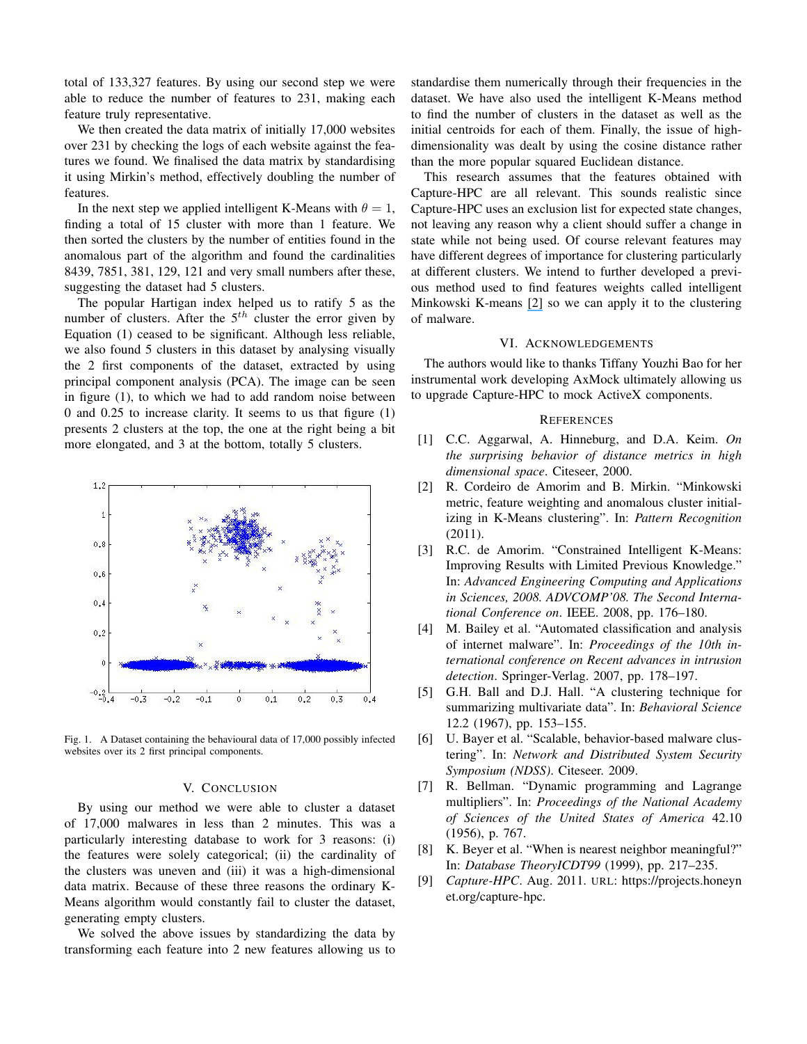total of 133,327 features. By using our second step we were able to reduce the number of features to 231, making each feature truly representative.

We then created the data matrix of initially 17,000 websites over 231 by checking the logs of each website against the features we found. We finalised the data matrix by standardising it using Mirkin's method, effectively doubling the number of features.

In the next step we applied intelligent K-Means with  $\theta = 1$ , finding a total of 15 cluster with more than 1 feature. We then sorted the clusters by the number of entities found in the anomalous part of the algorithm and found the cardinalities 8439, 7851, 381, 129, 121 and very small numbers after these, suggesting the dataset had 5 clusters.

The popular Hartigan index helped us to ratify 5 as the number of clusters. After the  $5<sup>th</sup>$  cluster the error given by Equation (1) ceased to be significant. Although less reliable, we also found 5 clusters in this dataset by analysing visually the 2 first components of the dataset, extracted by using principal component analysis (PCA). The image can be seen in figure (1), to which we had to add random noise between 0 and 0.25 to increase clarity. It seems to us that figure (1) presents 2 clusters at the top, the one at the right being a bit more elongated, and 3 at the bottom, totally 5 clusters.



Fig. 1. A Dataset containing the behavioural data of 17,000 possibly infected websites over its 2 first principal components.

#### V. CONCLUSION

By using our method we were able to cluster a dataset of 17,000 malwares in less than 2 minutes. This was a particularly interesting database to work for 3 reasons: (i) the features were solely categorical; (ii) the cardinality of the clusters was uneven and (iii) it was a high-dimensional data matrix. Because of these three reasons the ordinary K-Means algorithm would constantly fail to cluster the dataset, generating empty clusters.

We solved the above issues by standardizing the data by transforming each feature into 2 new features allowing us to standardise them numerically through their frequencies in the dataset. We have also used the intelligent K-Means method to find the number of clusters in the dataset as well as the initial centroids for each of them. Finally, the issue of highdimensionality was dealt by using the cosine distance rather than the more popular squared Euclidean distance.

This research assumes that the features obtained with Capture-HPC are all relevant. This sounds realistic since Capture-HPC uses an exclusion list for expected state changes, not leaving any reason why a client should suffer a change in state while not being used. Of course relevant features may have different degrees of importance for clustering particularly at different clusters. We intend to further developed a previous method used to find features weights called intelligent Minkowski K-means [2] so we can apply it to the clustering of malware.

#### VI. ACKNOWLEDGEMENTS

The authors would like to thanks Tiffany Youzhi Bao for her instrumental work developing AxMock ultimately allowing us to upgrade Capture-HPC to mock ActiveX components.

#### **REFERENCES**

- [1] C.C. Aggarwal, A. Hinneburg, and D.A. Keim. *On the surprising behavior of distance metrics in high dimensional space*. Citeseer, 2000.
- [2] R. Cordeiro de Amorim and B. Mirkin. "Minkowski metric, feature weighting and anomalous cluster initializing in K-Means clustering". In: *Pattern Recognition* (2011).
- [3] R.C. de Amorim. "Constrained Intelligent K-Means: Improving Results with Limited Previous Knowledge." In: *Advanced Engineering Computing and Applications in Sciences, 2008. ADVCOMP'08. The Second International Conference on*. IEEE. 2008, pp. 176–180.
- [4] M. Bailey et al. "Automated classification and analysis of internet malware". In: *Proceedings of the 10th international conference on Recent advances in intrusion detection*. Springer-Verlag. 2007, pp. 178–197.
- [5] G.H. Ball and D.J. Hall. "A clustering technique for summarizing multivariate data". In: *Behavioral Science* 12.2 (1967), pp. 153–155.
- [6] U. Bayer et al. "Scalable, behavior-based malware clustering". In: *Network and Distributed System Security Symposium (NDSS)*. Citeseer. 2009.
- [7] R. Bellman. "Dynamic programming and Lagrange multipliers". In: *Proceedings of the National Academy of Sciences of the United States of America* 42.10 (1956), p. 767.
- [8] K. Beyer et al. "When is nearest neighbor meaningful?" In: *Database TheoryICDT99* (1999), pp. 217–235.
- [9] *Capture-HPC*. Aug. 2011. URL: https://projects.honeyn et.org/capture-hpc.